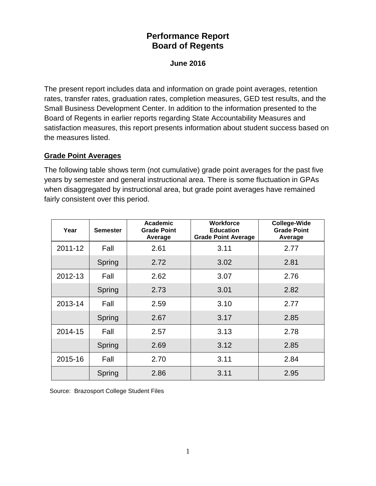# **Performance Report Board of Regents**

#### **June 2016**

The present report includes data and information on grade point averages, retention rates, transfer rates, graduation rates, completion measures, GED test results, and the Small Business Development Center. In addition to the information presented to the Board of Regents in earlier reports regarding State Accountability Measures and satisfaction measures, this report presents information about student success based on the measures listed.

#### **Grade Point Averages**

The following table shows term (not cumulative) grade point averages for the past five years by semester and general instructional area. There is some fluctuation in GPAs when disaggregated by instructional area, but grade point averages have remained fairly consistent over this period.

| Year    | <b>Semester</b> | <b>Academic</b><br><b>Grade Point</b><br>Average | <b>Workforce</b><br><b>Education</b><br><b>Grade Point Average</b> | <b>College-Wide</b><br><b>Grade Point</b><br>Average |  |
|---------|-----------------|--------------------------------------------------|--------------------------------------------------------------------|------------------------------------------------------|--|
| 2011-12 | Fall            | 2.61                                             | 3.11                                                               | 2.77                                                 |  |
|         | Spring          | 2.72                                             | 3.02                                                               | 2.81                                                 |  |
| 2012-13 | Fall            | 2.62                                             | 3.07                                                               | 2.76                                                 |  |
|         | Spring          | 2.73                                             | 3.01                                                               | 2.82                                                 |  |
| 2013-14 | Fall            | 2.59                                             | 3.10                                                               | 2.77                                                 |  |
|         | Spring          | 2.67                                             | 3.17                                                               | 2.85                                                 |  |
| 2014-15 | Fall            | 2.57                                             | 3.13                                                               | 2.78                                                 |  |
|         | Spring          | 2.69                                             | 3.12                                                               | 2.85                                                 |  |
| 2015-16 | Fall            | 2.70                                             | 3.11                                                               | 2.84                                                 |  |
|         | Spring          | 2.86                                             | 3.11                                                               | 2.95                                                 |  |

Source: Brazosport College Student Files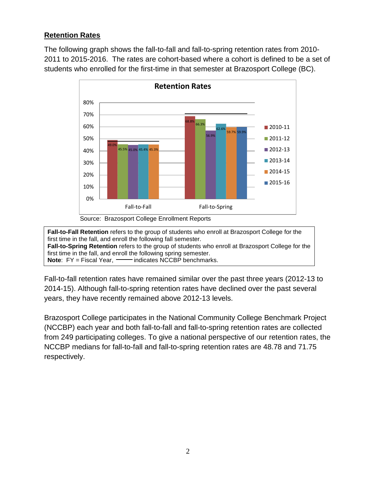# **Retention Rates**

The following graph shows the fall-to-fall and fall-to-spring retention rates from 2010- 2011 to 2015-2016. The rates are cohort-based where a cohort is defined to be a set of students who enrolled for the first-time in that semester at Brazosport College (BC).



**Fall-to-Fall Retention** refers to the group of students who enroll at Brazosport College for the first time in the fall, and enroll the following fall semester. **Fall-to-Spring Retention** refers to the group of students who enroll at Brazosport College for the first time in the fall, and enroll the following spring semester.<br>**Note**: FY = Fiscal Year, **with the indicates NCCBP** benchmare - indicates NCCBP benchmarks.

Fall-to-fall retention rates have remained similar over the past three years (2012-13 to 2014-15). Although fall-to-spring retention rates have declined over the past several years, they have recently remained above 2012-13 levels.

Brazosport College participates in the National Community College Benchmark Project (NCCBP) each year and both fall-to-fall and fall-to-spring retention rates are collected from 249 participating colleges. To give a national perspective of our retention rates, the NCCBP medians for fall-to-fall and fall-to-spring retention rates are 48.78 and 71.75 respectively.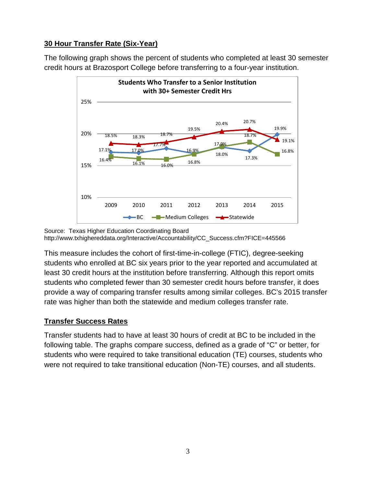# **30 Hour Transfer Rate (Six-Year)**

The following graph shows the percent of students who completed at least 30 semester credit hours at Brazosport College before transferring to a four-year institution.



Source: Texas Higher Education Coordinating Board http://www.txhighereddata.org/Interactive/Accountability/CC\_Success.cfm?FICE=445566

This measure includes the cohort of first-time-in-college (FTIC), degree-seeking students who enrolled at BC six years prior to the year reported and accumulated at least 30 credit hours at the institution before transferring. Although this report omits students who completed fewer than 30 semester credit hours before transfer, it does provide a way of comparing transfer results among similar colleges. BC's 2015 transfer rate was higher than both the statewide and medium colleges transfer rate.

# **Transfer Success Rates**

Transfer students had to have at least 30 hours of credit at BC to be included in the following table. The graphs compare success, defined as a grade of "C" or better, for students who were required to take transitional education (TE) courses, students who were not required to take transitional education (Non-TE) courses, and all students.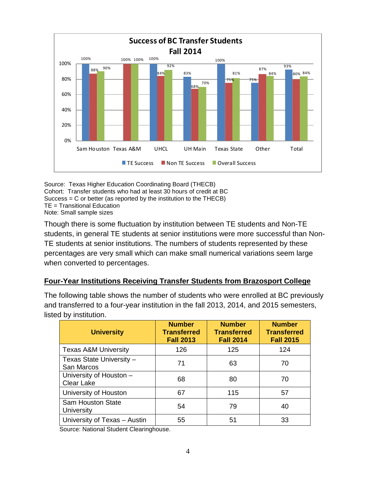

Source: Texas Higher Education Coordinating Board (THECB) Cohort: Transfer students who had at least 30 hours of credit at BC Success = C or better (as reported by the institution to the THECB) TE = Transitional Education Note: Small sample sizes

Though there is some fluctuation by institution between TE students and Non-TE students, in general TE students at senior institutions were more successful than Non-TE students at senior institutions. The numbers of students represented by these percentages are very small which can make small numerical variations seem large when converted to percentages.

#### **Four-Year Institutions Receiving Transfer Students from Brazosport College**

The following table shows the number of students who were enrolled at BC previously and transferred to a four-year institution in the fall 2013, 2014, and 2015 semesters, listed by institution.

| <b>University</b>                            | <b>Number</b><br><b>Transferred</b><br><b>Fall 2013</b> | <b>Number</b><br><b>Transferred</b><br><b>Fall 2014</b> | <b>Number</b><br><b>Transferred</b><br><b>Fall 2015</b> |
|----------------------------------------------|---------------------------------------------------------|---------------------------------------------------------|---------------------------------------------------------|
| <b>Texas A&amp;M University</b>              | 126                                                     | 125                                                     | 124                                                     |
| Texas State University -<br>San Marcos       | 71                                                      | 63                                                      | 70                                                      |
| University of Houston -<br><b>Clear Lake</b> | 68                                                      | 80                                                      | 70                                                      |
| University of Houston                        | 67                                                      | 115                                                     | 57                                                      |
| <b>Sam Houston State</b><br>University       | 54                                                      | 79                                                      | 40                                                      |
| University of Texas - Austin                 | 55                                                      | 51                                                      | 33                                                      |

Source: National Student Clearinghouse.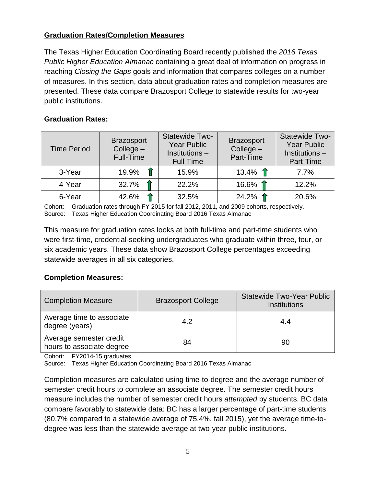## **Graduation Rates/Completion Measures**

The Texas Higher Education Coordinating Board recently published the *2016 Texas Public Higher Education Almanac* containing a great deal of information on progress in reaching *Closing the Gaps* goals and information that compares colleges on a number of measures. In this section, data about graduation rates and completion measures are presented. These data compare Brazosport College to statewide results for two-year public institutions.

## **Graduation Rates:**

| <b>Time Period</b> | <b>Brazosport</b><br>$Collect -$<br><b>Full-Time</b> | Statewide Two-<br><b>Year Public</b><br>Institutions -<br><b>Full-Time</b> | <b>Brazosport</b><br>$Collect -$<br>Part-Time | Statewide Two-<br><b>Year Public</b><br>Institutions -<br>Part-Time |
|--------------------|------------------------------------------------------|----------------------------------------------------------------------------|-----------------------------------------------|---------------------------------------------------------------------|
| 3-Year             | 19.9%                                                | 15.9%                                                                      | 13.4% $\hat{\textbf{1}}$                      | 7.7%                                                                |
| 4-Year             | 32.7%                                                | 22.2%                                                                      | 16.6% 1                                       | 12.2%                                                               |
| 6-Year             | 42.6%                                                | 32.5%                                                                      | $24.2\%$ 1                                    | 20.6%                                                               |

Cohort: Graduation rates through FY 2015 for fall 2012, 2011, and 2009 cohorts, respectively. Source: Texas Higher Education Coordinating Board 2016 Texas Almanac

This measure for graduation rates looks at both full-time and part-time students who were first-time, credential-seeking undergraduates who graduate within three, four, or six academic years. These data show Brazosport College percentages exceeding statewide averages in all six categories.

#### **Completion Measures:**

| <b>Completion Measure</b>                            | <b>Brazosport College</b> | <b>Statewide Two-Year Public</b><br><b>Institutions</b> |
|------------------------------------------------------|---------------------------|---------------------------------------------------------|
| Average time to associate<br>degree (years)          | 4.2                       | 4.4                                                     |
| Average semester credit<br>hours to associate degree | 84                        | 90                                                      |

Cohort: FY2014-15 graduates

Source: Texas Higher Education Coordinating Board 2016 Texas Almanac

Completion measures are calculated using time-to-degree and the average number of semester credit hours to complete an associate degree. The semester credit hours measure includes the number of semester credit hours *attempted* by students. BC data compare favorably to statewide data: BC has a larger percentage of part-time students (80.7% compared to a statewide average of 75.4%, fall 2015), yet the average time-todegree was less than the statewide average at two-year public institutions.